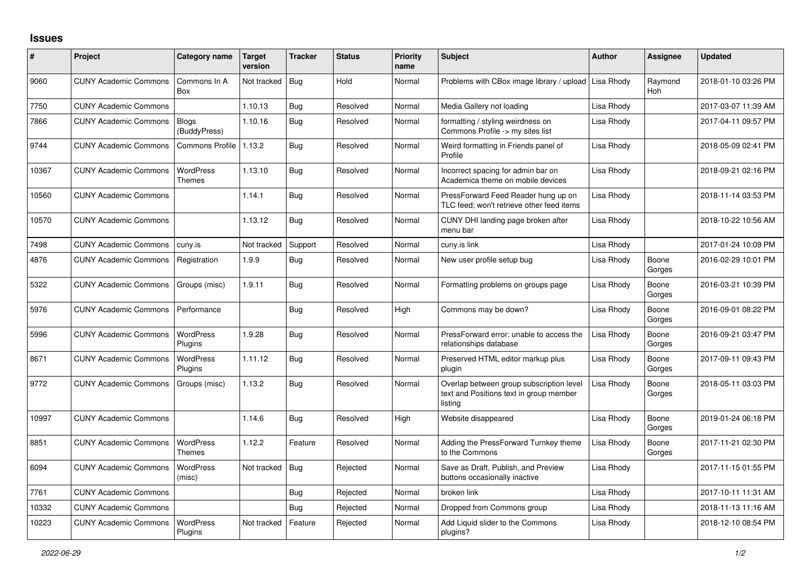## **Issues**

| #     | Project                      | Category name                     | <b>Target</b><br>version | <b>Tracker</b> | <b>Status</b> | <b>Priority</b><br>name | <b>Subject</b>                                                                                 | <b>Author</b> | <b>Assignee</b> | <b>Updated</b>      |
|-------|------------------------------|-----------------------------------|--------------------------|----------------|---------------|-------------------------|------------------------------------------------------------------------------------------------|---------------|-----------------|---------------------|
| 9060  | <b>CUNY Academic Commons</b> | Commons In A<br>Box               | Not tracked              | Bug            | Hold          | Normal                  | Problems with CBox image library / upload                                                      | Lisa Rhody    | Raymond<br>Hoh  | 2018-01-10 03:26 PM |
| 7750  | <b>CUNY Academic Commons</b> |                                   | 1.10.13                  | Bug            | Resolved      | Normal                  | Media Gallery not loading                                                                      | Lisa Rhody    |                 | 2017-03-07 11:39 AM |
| 7866  | <b>CUNY Academic Commons</b> | <b>Blogs</b><br>(BuddyPress)      | 1.10.16                  | <b>Bug</b>     | Resolved      | Normal                  | formatting / styling weirdness on<br>Commons Profile -> my sites list                          | Lisa Rhody    |                 | 2017-04-11 09:57 PM |
| 9744  | <b>CUNY Academic Commons</b> | <b>Commons Profile</b>            | 1.13.2                   | Bug            | Resolved      | Normal                  | Weird formatting in Friends panel of<br>Profile                                                | Lisa Rhody    |                 | 2018-05-09 02:41 PM |
| 10367 | <b>CUNY Academic Commons</b> | WordPress<br>Themes               | 1.13.10                  | <b>Bug</b>     | Resolved      | Normal                  | Incorrect spacing for admin bar on<br>Academica theme on mobile devices                        | Lisa Rhody    |                 | 2018-09-21 02:16 PM |
| 10560 | <b>CUNY Academic Commons</b> |                                   | 1.14.1                   | <b>Bug</b>     | Resolved      | Normal                  | PressForward Feed Reader hung up on<br>TLC feed; won't retrieve other feed items               | Lisa Rhody    |                 | 2018-11-14 03:53 PM |
| 10570 | <b>CUNY Academic Commons</b> |                                   | 1.13.12                  | Bug            | Resolved      | Normal                  | CUNY DHI landing page broken after<br>menu bar                                                 | Lisa Rhody    |                 | 2018-10-22 10:56 AM |
| 7498  | <b>CUNY Academic Commons</b> | cuny.is                           | Not tracked              | Support        | Resolved      | Normal                  | cuny.is link                                                                                   | Lisa Rhody    |                 | 2017-01-24 10:09 PM |
| 4876  | <b>CUNY Academic Commons</b> | Registration                      | 1.9.9                    | <b>Bug</b>     | Resolved      | Normal                  | New user profile setup bug                                                                     | Lisa Rhody    | Boone<br>Gorges | 2016-02-29 10:01 PM |
| 5322  | <b>CUNY Academic Commons</b> | Groups (misc)                     | 1.9.11                   | <b>Bug</b>     | Resolved      | Normal                  | Formatting problems on groups page                                                             | Lisa Rhody    | Boone<br>Gorges | 2016-03-21 10:39 PM |
| 5976  | <b>CUNY Academic Commons</b> | Performance                       |                          | Bug            | Resolved      | High                    | Commons may be down?                                                                           | Lisa Rhody    | Boone<br>Gorges | 2016-09-01 08:22 PM |
| 5996  | <b>CUNY Academic Commons</b> | WordPress<br>Plugins              | 1.9.28                   | Bug            | Resolved      | Normal                  | PressForward error: unable to access the<br>relationships database                             | Lisa Rhody    | Boone<br>Gorges | 2016-09-21 03:47 PM |
| 8671  | <b>CUNY Academic Commons</b> | <b>WordPress</b><br>Plugins       | 1.11.12                  | <b>Bug</b>     | Resolved      | Normal                  | Preserved HTML editor markup plus<br>plugin                                                    | Lisa Rhody    | Boone<br>Gorges | 2017-09-11 09:43 PM |
| 9772  | <b>CUNY Academic Commons</b> | Groups (misc)                     | 1.13.2                   | <b>Bug</b>     | Resolved      | Normal                  | Overlap between group subscription level<br>text and Positions text in group member<br>listing | Lisa Rhody    | Boone<br>Gorges | 2018-05-11 03:03 PM |
| 10997 | <b>CUNY Academic Commons</b> |                                   | 1.14.6                   | <b>Bug</b>     | Resolved      | High                    | Website disappeared                                                                            | Lisa Rhody    | Boone<br>Gorges | 2019-01-24 06:18 PM |
| 8851  | <b>CUNY Academic Commons</b> | <b>WordPress</b><br><b>Themes</b> | 1.12.2                   | Feature        | Resolved      | Normal                  | Adding the PressForward Turnkey theme<br>to the Commons                                        | Lisa Rhody    | Boone<br>Gorges | 2017-11-21 02:30 PM |
| 6094  | <b>CUNY Academic Commons</b> | <b>WordPress</b><br>(misc)        | Not tracked              | Bug            | Rejected      | Normal                  | Save as Draft, Publish, and Preview<br>buttons occasionally inactive                           | Lisa Rhody    |                 | 2017-11-15 01:55 PM |
| 7761  | <b>CUNY Academic Commons</b> |                                   |                          | Bug            | Rejected      | Normal                  | broken link                                                                                    | Lisa Rhody    |                 | 2017-10-11 11:31 AM |
| 10332 | <b>CUNY Academic Commons</b> |                                   |                          | Bug            | Rejected      | Normal                  | Dropped from Commons group                                                                     | Lisa Rhody    |                 | 2018-11-13 11:16 AM |
| 10223 | <b>CUNY Academic Commons</b> | WordPress<br>Plugins              | Not tracked              | Feature        | Rejected      | Normal                  | Add Liquid slider to the Commons<br>plugins?                                                   | Lisa Rhody    |                 | 2018-12-10 08:54 PM |